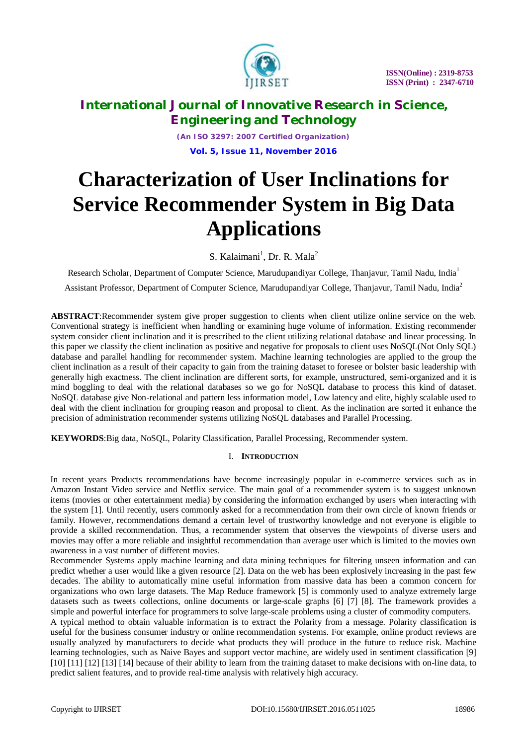

*(An ISO 3297: 2007 Certified Organization)* **Vol. 5, Issue 11, November 2016**

# **Characterization of User Inclinations for Service Recommender System in Big Data Applications**

S. Kalaimani<sup>1</sup>, Dr. R. Mala<sup>2</sup>

Research Scholar, Department of Computer Science, Marudupandiyar College, Thanjavur, Tamil Nadu, India<sup>1</sup>

Assistant Professor, Department of Computer Science, Marudupandiyar College, Thanjavur, Tamil Nadu, India<sup>2</sup>

**ABSTRACT**:Recommender system give proper suggestion to clients when client utilize online service on the web. Conventional strategy is inefficient when handling or examining huge volume of information. Existing recommender system consider client inclination and it is prescribed to the client utilizing relational database and linear processing. In this paper we classify the client inclination as positive and negative for proposals to client uses NoSQL(Not Only SQL) database and parallel handling for recommender system. Machine learning technologies are applied to the group the client inclination as a result of their capacity to gain from the training dataset to foresee or bolster basic leadership with generally high exactness. The client inclination are different sorts, for example, unstructured, semi-organized and it is mind boggling to deal with the relational databases so we go for NoSQL database to process this kind of dataset. NoSQL database give Non-relational and pattern less information model, Low latency and elite, highly scalable used to deal with the client inclination for grouping reason and proposal to client. As the inclination are sorted it enhance the precision of administration recommender systems utilizing NoSQL databases and Parallel Processing.

**KEYWORDS**:Big data, NoSQL, Polarity Classification, Parallel Processing, Recommender system.

### I. **INTRODUCTION**

In recent years Products recommendations have become increasingly popular in e-commerce services such as in Amazon Instant Video service and Netflix service. The main goal of a recommender system is to suggest unknown items (movies or other entertainment media) by considering the information exchanged by users when interacting with the system [1]. Until recently, users commonly asked for a recommendation from their own circle of known friends or family. However, recommendations demand a certain level of trustworthy knowledge and not everyone is eligible to provide a skilled recommendation. Thus, a recommender system that observes the viewpoints of diverse users and movies may offer a more reliable and insightful recommendation than average user which is limited to the movies own awareness in a vast number of different movies.

Recommender Systems apply machine learning and data mining techniques for filtering unseen information and can predict whether a user would like a given resource [2]. Data on the web has been explosively increasing in the past few decades. The ability to automatically mine useful information from massive data has been a common concern for organizations who own large datasets. The Map Reduce framework [5] is commonly used to analyze extremely large datasets such as tweets collections, online documents or large-scale graphs [6] [7] [8]. The framework provides a simple and powerful interface for programmers to solve large-scale problems using a cluster of commodity computers.

A typical method to obtain valuable information is to extract the Polarity from a message. Polarity classification is useful for the business consumer industry or online recommendation systems. For example, online product reviews are usually analyzed by manufacturers to decide what products they will produce in the future to reduce risk. Machine learning technologies, such as Naive Bayes and support vector machine, are widely used in sentiment classification [9] [10] [11] [12] [13] [14] because of their ability to learn from the training dataset to make decisions with on-line data, to predict salient features, and to provide real-time analysis with relatively high accuracy.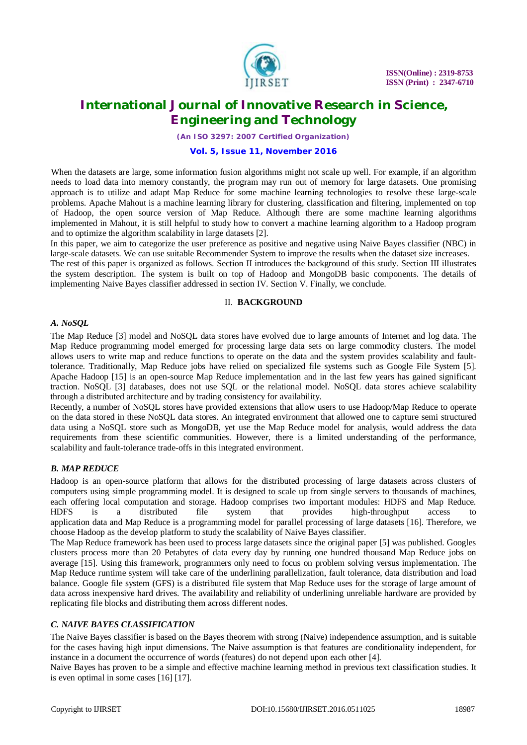

*(An ISO 3297: 2007 Certified Organization)*

#### **Vol. 5, Issue 11, November 2016**

When the datasets are large, some information fusion algorithms might not scale up well. For example, if an algorithm needs to load data into memory constantly, the program may run out of memory for large datasets. One promising approach is to utilize and adapt Map Reduce for some machine learning technologies to resolve these large-scale problems. Apache Mahout is a machine learning library for clustering, classification and filtering, implemented on top of Hadoop, the open source version of Map Reduce. Although there are some machine learning algorithms implemented in Mahout, it is still helpful to study how to convert a machine learning algorithm to a Hadoop program and to optimize the algorithm scalability in large datasets [2].

In this paper, we aim to categorize the user preference as positive and negative using Naive Bayes classifier (NBC) in large-scale datasets. We can use suitable Recommender System to improve the results when the dataset size increases.

The rest of this paper is organized as follows. Section II introduces the background of this study. Section III illustrates the system description. The system is built on top of Hadoop and MongoDB basic components. The details of implementing Naive Bayes classifier addressed in section IV. Section V. Finally, we conclude.

#### II. **BACKGROUND**

#### *A. NoSQL*

The Map Reduce [3] model and NoSQL data stores have evolved due to large amounts of Internet and log data. The Map Reduce programming model emerged for processing large data sets on large commodity clusters. The model allows users to write map and reduce functions to operate on the data and the system provides scalability and faulttolerance. Traditionally, Map Reduce jobs have relied on specialized file systems such as Google File System [5]. Apache Hadoop [15] is an open-source Map Reduce implementation and in the last few years has gained significant traction. NoSQL [3] databases, does not use SQL or the relational model. NoSQL data stores achieve scalability through a distributed architecture and by trading consistency for availability.

Recently, a number of NoSQL stores have provided extensions that allow users to use Hadoop/Map Reduce to operate on the data stored in these NoSQL data stores. An integrated environment that allowed one to capture semi structured data using a NoSQL store such as MongoDB, yet use the Map Reduce model for analysis, would address the data requirements from these scientific communities. However, there is a limited understanding of the performance, scalability and fault-tolerance trade-offs in this integrated environment.

#### *B. MAP REDUCE*

Hadoop is an open-source platform that allows for the distributed processing of large datasets across clusters of computers using simple programming model. It is designed to scale up from single servers to thousands of machines, each offering local computation and storage. Hadoop comprises two important modules: HDFS and Map Reduce. HDFS is a distributed file system that provides high-throughput access to application data and Map Reduce is a programming model for parallel processing of large datasets [16]. Therefore, we choose Hadoop as the develop platform to study the scalability of Naive Bayes classifier.

The Map Reduce framework has been used to process large datasets since the original paper [5] was published. Googles clusters process more than 20 Petabytes of data every day by running one hundred thousand Map Reduce jobs on average [15]. Using this framework, programmers only need to focus on problem solving versus implementation. The Map Reduce runtime system will take care of the underlining parallelization, fault tolerance, data distribution and load balance. Google file system (GFS) is a distributed file system that Map Reduce uses for the storage of large amount of data across inexpensive hard drives. The availability and reliability of underlining unreliable hardware are provided by replicating file blocks and distributing them across different nodes.

#### *C. NAIVE BAYES CLASSIFICATION*

The Naive Bayes classifier is based on the Bayes theorem with strong (Naive) independence assumption, and is suitable for the cases having high input dimensions. The Naive assumption is that features are conditionality independent, for instance in a document the occurrence of words (features) do not depend upon each other [4].

Naive Bayes has proven to be a simple and effective machine learning method in previous text classification studies. It is even optimal in some cases [16] [17].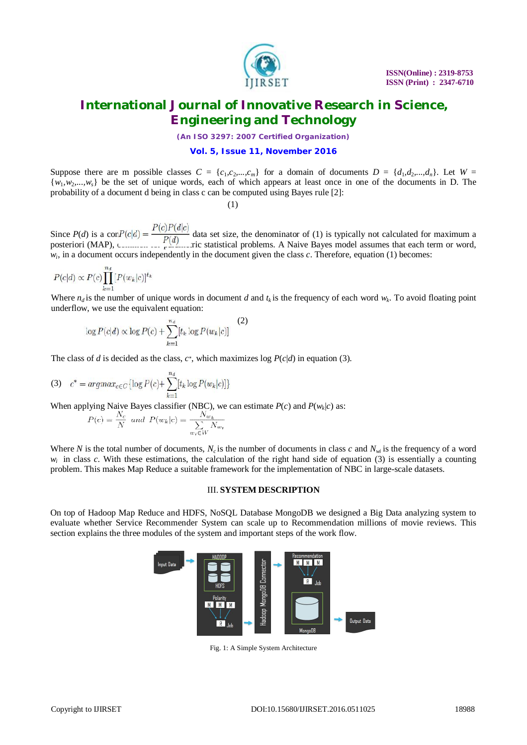

*(An ISO 3297: 2007 Certified Organization)*

#### **Vol. 5, Issue 11, November 2016**

Suppose there are m possible classes  $C = \{c_1, c_2, ..., c_m\}$  for a domain of documents  $D = \{d_1, d_2, ..., d_n\}$ . Let  $W =$  $\{w_1, w_2, ..., w_s\}$  be the set of unique words, each of which appears at least once in one of the documents in D. The probability of a document d being in class c can be computed using Bayes rule [2]:

(1)

Since  $P(d)$  is a cor $P(c|d) = \frac{P(d)}{P(d)}$  data set size, the denominator of (1) is typically not calculated for maximum a posteriori (MAP), common contractivity statistical problems. A Naive Bayes model assumes that each term or word,  $w_i$ , in a document occurs independently in the document given the class  $c$ . Therefore, equation (1) becomes:

$$
P(c|d) \propto P(c) \prod_{k=1}^{n_d} [P(w_k|c)]^{t_k}
$$

Where  $n_d$  is the number of unique words in document *d* and  $t_k$  is the frequency of each word  $w_k$ . To avoid floating point underflow, we use the equivalent equation:

$$
\log P(c|d) \propto \log P(c) + \sum_{k=1}^{n_d} [t_k \log P(w_k|c)] \tag{2}
$$

The class of *d* is decided as the class,  $c^*$ , which maximizes log  $P(c|d)$  in equation (3).

(3) 
$$
c^* = argmax_{c \in C} \{ \log P(c) + \sum_{k=1}^{n_d} [t_k \log P(w_k|c)] \}
$$

When applying Naive Bayes classifier (NBC), we can estimate  $P(c)$  and  $P(w_k|c)$  as:

$$
P(c) = \frac{N_c}{N} \text{ and } P(w_k|c) = \frac{N_{w_k}}{\sum_{w_i \in W} N_{w_i}}
$$

Where *N* is the total number of documents,  $N_c$  is the number of documents in class *c* and  $N_w$  is the frequency of a word  $w_i$  in class *c*. With these estimations, the calculation of the right hand side of equation (3) is essentially a counting problem. This makes Map Reduce a suitable framework for the implementation of NBC in large-scale datasets.

#### III. **SYSTEM DESCRIPTION**

On top of Hadoop Map Reduce and HDFS, NoSQL Database MongoDB we designed a Big Data analyzing system to evaluate whether Service Recommender System can scale up to Recommendation millions of movie reviews. This section explains the three modules of the system and important steps of the work flow.



Fig. 1: A Simple System Architecture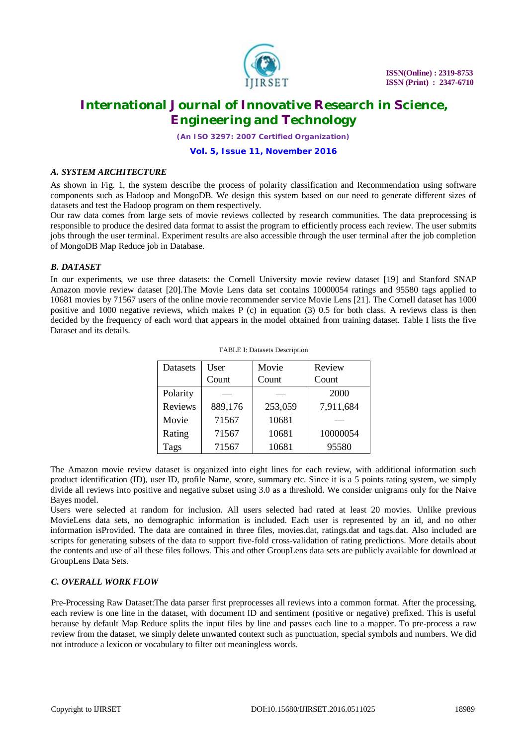

*(An ISO 3297: 2007 Certified Organization)*

#### **Vol. 5, Issue 11, November 2016**

#### *A. SYSTEM ARCHITECTURE*

As shown in Fig. 1, the system describe the process of polarity classification and Recommendation using software components such as Hadoop and MongoDB. We design this system based on our need to generate different sizes of datasets and test the Hadoop program on them respectively.

Our raw data comes from large sets of movie reviews collected by research communities. The data preprocessing is responsible to produce the desired data format to assist the program to efficiently process each review. The user submits jobs through the user terminal. Experiment results are also accessible through the user terminal after the job completion of MongoDB Map Reduce job in Database.

### *B. DATASET*

In our experiments, we use three datasets: the Cornell University movie review dataset [19] and Stanford SNAP Amazon movie review dataset [20].The Movie Lens data set contains 10000054 ratings and 95580 tags applied to 10681 movies by 71567 users of the online movie recommender service Movie Lens [21]. The Cornell dataset has 1000 positive and 1000 negative reviews, which makes P (c) in equation (3) 0.5 for both class. A reviews class is then decided by the frequency of each word that appears in the model obtained from training dataset. Table I lists the five Dataset and its details.

| Datasets | User    | Movie   | Review    |
|----------|---------|---------|-----------|
|          | Count   | Count   | Count     |
| Polarity |         |         | 2000      |
| Reviews  | 889,176 | 253,059 | 7,911,684 |
| Movie    | 71567   | 10681   |           |
| Rating   | 71567   | 10681   | 10000054  |
| Tags     | 71567   | 10681   | 95580     |

| <b>TABLE I: Datasets Description</b> |  |  |  |
|--------------------------------------|--|--|--|
|--------------------------------------|--|--|--|

The Amazon movie review dataset is organized into eight lines for each review, with additional information such product identification (ID), user ID, profile Name, score, summary etc. Since it is a 5 points rating system, we simply divide all reviews into positive and negative subset using 3.0 as a threshold. We consider unigrams only for the Naive Bayes model.

Users were selected at random for inclusion. All users selected had rated at least 20 movies. Unlike previous MovieLens data sets, no demographic information is included. Each user is represented by an id, and no other information isProvided. The data are contained in three files, movies.dat, ratings.dat and tags.dat. Also included are scripts for generating subsets of the data to support five-fold cross-validation of rating predictions. More details about the contents and use of all these files follows. This and other GroupLens data sets are publicly available for download at GroupLens Data Sets.

#### *C. OVERALL WORK FLOW*

Pre-Processing Raw Dataset:The data parser first preprocesses all reviews into a common format. After the processing, each review is one line in the dataset, with document ID and sentiment (positive or negative) prefixed. This is useful because by default Map Reduce splits the input files by line and passes each line to a mapper. To pre-process a raw review from the dataset, we simply delete unwanted context such as punctuation, special symbols and numbers. We did not introduce a lexicon or vocabulary to filter out meaningless words.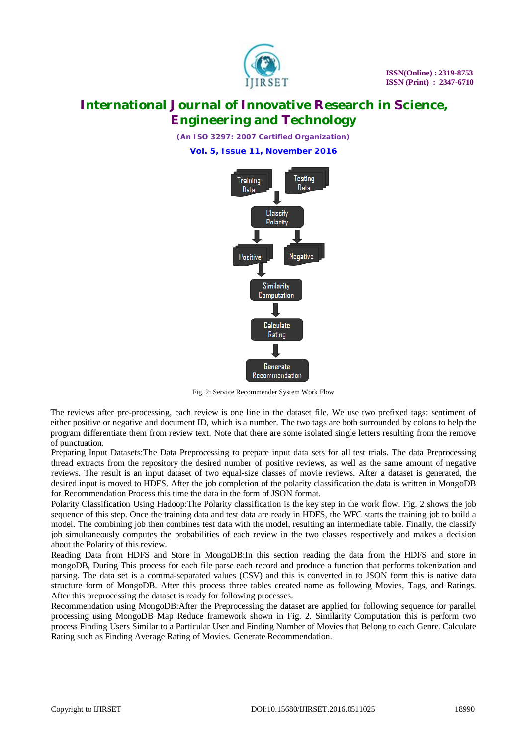

*(An ISO 3297: 2007 Certified Organization)*

**Vol. 5, Issue 11, November 2016**



Fig. 2: Service Recommender System Work Flow

The reviews after pre-processing, each review is one line in the dataset file. We use two prefixed tags: sentiment of either positive or negative and document ID, which is a number. The two tags are both surrounded by colons to help the program differentiate them from review text. Note that there are some isolated single letters resulting from the remove of punctuation.

Preparing Input Datasets:The Data Preprocessing to prepare input data sets for all test trials. The data Preprocessing thread extracts from the repository the desired number of positive reviews, as well as the same amount of negative reviews. The result is an input dataset of two equal-size classes of movie reviews. After a dataset is generated, the desired input is moved to HDFS. After the job completion of the polarity classification the data is written in MongoDB for Recommendation Process this time the data in the form of JSON format.

Polarity Classification Using Hadoop:The Polarity classification is the key step in the work flow. Fig. 2 shows the job sequence of this step. Once the training data and test data are ready in HDFS, the WFC starts the training job to build a model. The combining job then combines test data with the model, resulting an intermediate table. Finally, the classify job simultaneously computes the probabilities of each review in the two classes respectively and makes a decision about the Polarity of this review.

Reading Data from HDFS and Store in MongoDB:In this section reading the data from the HDFS and store in mongoDB, During This process for each file parse each record and produce a function that performs tokenization and parsing. The data set is a comma-separated values (CSV) and this is converted in to JSON form this is native data structure form of MongoDB. After this process three tables created name as following Movies, Tags, and Ratings. After this preprocessing the dataset is ready for following processes.

Recommendation using MongoDB:After the Preprocessing the dataset are applied for following sequence for parallel processing using MongoDB Map Reduce framework shown in Fig. 2. Similarity Computation this is perform two process Finding Users Similar to a Particular User and Finding Number of Movies that Belong to each Genre. Calculate Rating such as Finding Average Rating of Movies. Generate Recommendation.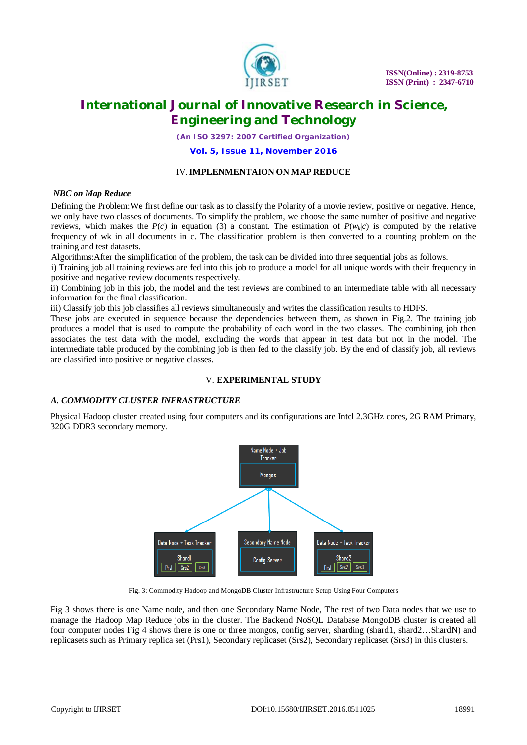

*(An ISO 3297: 2007 Certified Organization)*

#### **Vol. 5, Issue 11, November 2016**

#### IV.**IMPLENMENTAION ON MAP REDUCE**

#### *NBC on Map Reduce*

Defining the Problem:We first define our task as to classify the Polarity of a movie review, positive or negative. Hence, we only have two classes of documents. To simplify the problem, we choose the same number of positive and negative reviews, which makes the  $P(c)$  in equation (3) a constant. The estimation of  $P(w_k|c)$  is computed by the relative frequency of wk in all documents in c. The classification problem is then converted to a counting problem on the training and test datasets.

Algorithms:After the simplification of the problem, the task can be divided into three sequential jobs as follows.

i) Training job all training reviews are fed into this job to produce a model for all unique words with their frequency in positive and negative review documents respectively.

ii) Combining job in this job, the model and the test reviews are combined to an intermediate table with all necessary information for the final classification.

iii) Classify job this job classifies all reviews simultaneously and writes the classification results to HDFS.

These jobs are executed in sequence because the dependencies between them, as shown in Fig.2. The training job produces a model that is used to compute the probability of each word in the two classes. The combining job then associates the test data with the model, excluding the words that appear in test data but not in the model. The intermediate table produced by the combining job is then fed to the classify job. By the end of classify job, all reviews are classified into positive or negative classes.

### V. **EXPERIMENTAL STUDY**

### *A. COMMODITY CLUSTER INFRASTRUCTURE*

Physical Hadoop cluster created using four computers and its configurations are Intel 2.3GHz cores, 2G RAM Primary, 320G DDR3 secondary memory.



Fig. 3: Commodity Hadoop and MongoDB Cluster Infrastructure Setup Using Four Computers

Fig 3 shows there is one Name node, and then one Secondary Name Node, The rest of two Data nodes that we use to manage the Hadoop Map Reduce jobs in the cluster. The Backend NoSQL Database MongoDB cluster is created all four computer nodes Fig 4 shows there is one or three mongos, config server, sharding (shard1, shard2...ShardN) and replicasets such as Primary replica set (Prs1), Secondary replicaset (Srs2), Secondary replicaset (Srs3) in this clusters.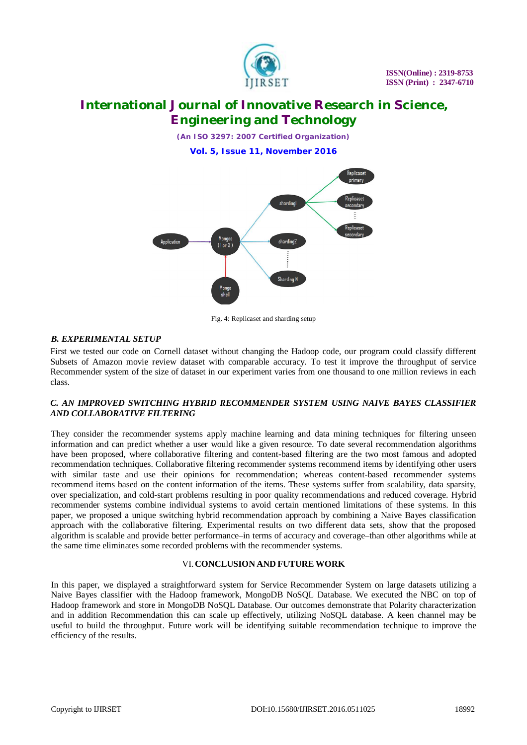

*(An ISO 3297: 2007 Certified Organization)*

**Vol. 5, Issue 11, November 2016**



Fig. 4: Replicaset and sharding setup

#### *B. EXPERIMENTAL SETUP*

First we tested our code on Cornell dataset without changing the Hadoop code, our program could classify different Subsets of Amazon movie review dataset with comparable accuracy. To test it improve the throughput of service Recommender system of the size of dataset in our experiment varies from one thousand to one million reviews in each class.

#### *C. AN IMPROVED SWITCHING HYBRID RECOMMENDER SYSTEM USING NAIVE BAYES CLASSIFIER AND COLLABORATIVE FILTERING*

They consider the recommender systems apply machine learning and data mining techniques for filtering unseen information and can predict whether a user would like a given resource. To date several recommendation algorithms have been proposed, where collaborative filtering and content-based filtering are the two most famous and adopted recommendation techniques. Collaborative filtering recommender systems recommend items by identifying other users with similar taste and use their opinions for recommendation; whereas content-based recommender systems recommend items based on the content information of the items. These systems suffer from scalability, data sparsity, over specialization, and cold-start problems resulting in poor quality recommendations and reduced coverage. Hybrid recommender systems combine individual systems to avoid certain mentioned limitations of these systems. In this paper, we proposed a unique switching hybrid recommendation approach by combining a Naive Bayes classification approach with the collaborative filtering. Experimental results on two different data sets, show that the proposed algorithm is scalable and provide better performance–in terms of accuracy and coverage–than other algorithms while at the same time eliminates some recorded problems with the recommender systems.

#### VI.**CONCLUSION AND FUTURE WORK**

In this paper, we displayed a straightforward system for Service Recommender System on large datasets utilizing a Naive Bayes classifier with the Hadoop framework, MongoDB NoSQL Database. We executed the NBC on top of Hadoop framework and store in MongoDB NoSQL Database. Our outcomes demonstrate that Polarity characterization and in addition Recommendation this can scale up effectively, utilizing NoSQL database. A keen channel may be useful to build the throughput. Future work will be identifying suitable recommendation technique to improve the efficiency of the results.